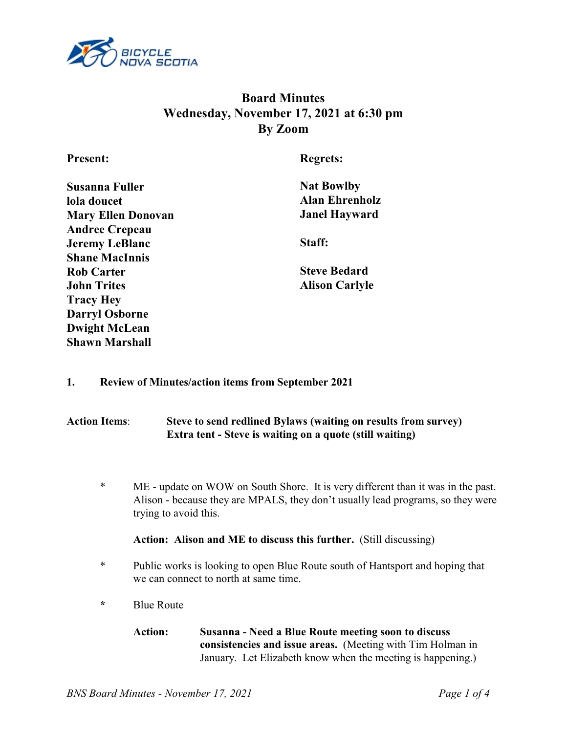

# **Board Minutes Wednesday, November 17, 2021 at 6:30 pm By Zoom**

**Present:**

**Regrets:**

| <b>Susanna Fuller</b>     |
|---------------------------|
| lola doucet               |
| <b>Mary Ellen Donovan</b> |
| <b>Andree Crepeau</b>     |
| <b>Jeremy LeBlanc</b>     |
| <b>Shane MacInnis</b>     |
| <b>Rob Carter</b>         |
| <b>John Trites</b>        |
| <b>Tracy Hey</b>          |
| <b>Darryl Osborne</b>     |
| <b>Dwight McLean</b>      |
| <b>Shawn Marshall</b>     |

**Nat Bowlby Alan Ehrenholz Janel Hayward**

**Staff:**

**Steve Bedard Alison Carlyle**

## **1. Review of Minutes/action items from September 2021**

# **Action Items**: **Steve to send redlined Bylaws (waiting on results from survey) Extra tent - Steve is waiting on a quote (still waiting)**

\* ME - update on WOW on South Shore. It is very different than it was in the past. Alison - because they are MPALS, they don't usually lead programs, so they were trying to avoid this.

## **Action: Alison and ME to discuss this further.** (Still discussing)

- \* Public works is looking to open Blue Route south of Hantsport and hoping that we can connect to north at same time.
- **\*** Blue Route
	- **Action: Susanna Need a Blue Route meeting soon to discuss consistencies and issue areas.** (Meeting with Tim Holman in January. Let Elizabeth know when the meeting is happening.)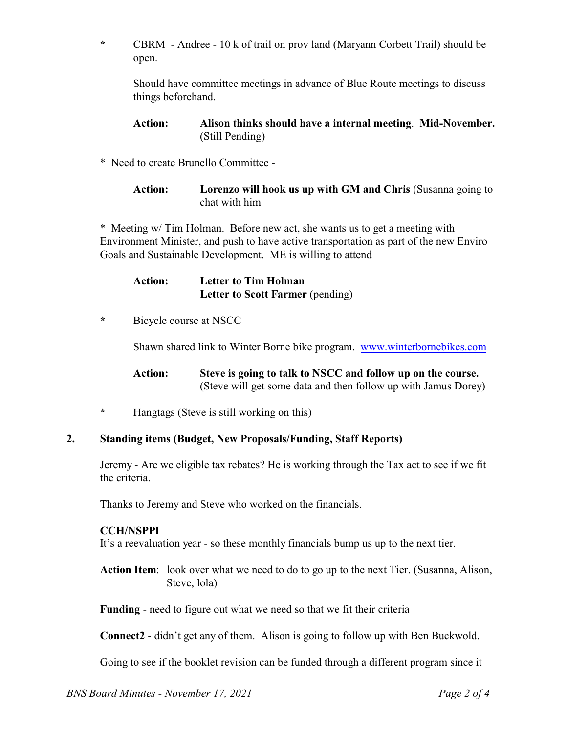**\*** CBRM - Andree - 10 k of trail on prov land (Maryann Corbett Trail) should be open.

Should have committee meetings in advance of Blue Route meetings to discuss things beforehand.

### **Action: Alison thinks should have a internal meeting**. **Mid-November.** (Still Pending)

\* Need to create Brunello Committee -

**Action: Lorenzo will hook us up with GM and Chris** (Susanna going to chat with him

\* Meeting w/ Tim Holman. Before new act, she wants us to get a meeting with Environment Minister, and push to have active transportation as part of the new Enviro Goals and Sustainable Development. ME is willing to attend

| <b>Action:</b> | Letter to Tim Holman             |
|----------------|----------------------------------|
|                | Letter to Scott Farmer (pending) |

**\*** Bicycle course at NSCC

Shawn shared link to Winter Borne bike program. www.winterbornebikes.com

**Action: Steve is going to talk to NSCC and follow up on the course.** (Steve will get some data and then follow up with Jamus Dorey)

**\*** Hangtags (Steve is still working on this)

#### **2. Standing items (Budget, New Proposals/Funding, Staff Reports)**

Jeremy - Are we eligible tax rebates? He is working through the Tax act to see if we fit the criteria.

Thanks to Jeremy and Steve who worked on the financials.

#### **CCH/NSPPI**

It's a reevaluation year - so these monthly financials bump us up to the next tier.

**Action Item**: look over what we need to do to go up to the next Tier. (Susanna, Alison, Steve, lola)

**Funding** - need to figure out what we need so that we fit their criteria

**Connect2** - didn't get any of them. Alison is going to follow up with Ben Buckwold.

Going to see if the booklet revision can be funded through a different program since it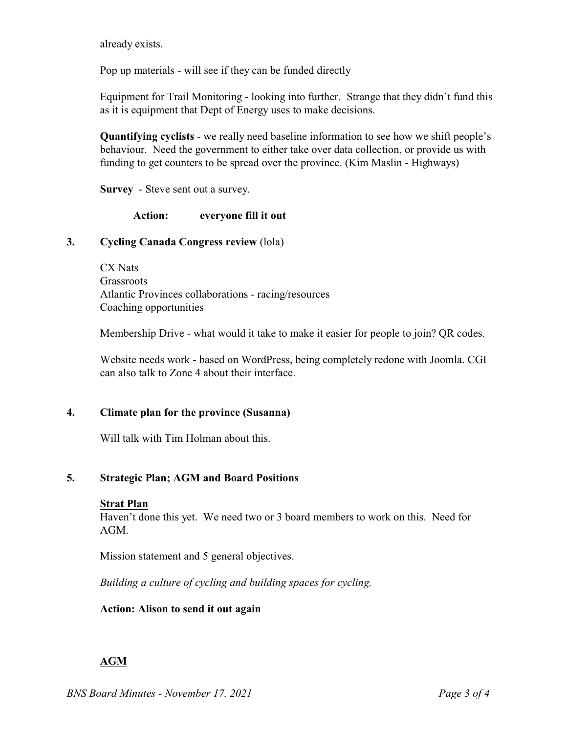already exists.

Pop up materials - will see if they can be funded directly

Equipment for Trail Monitoring - looking into further. Strange that they didn't fund this as it is equipment that Dept of Energy uses to make decisions.

**Quantifying cyclists** - we really need baseline information to see how we shift people's behaviour.Need the government to either take over data collection, or provide us with funding to get counters to be spread over the province. (Kim Maslin - Highways)

**Survey** - Steve sent out a survey.

**Action: everyone fill it out**

## **3. Cycling Canada Congress review** (lola)

CX Nats **Grassroots** Atlantic Provinces collaborations - racing/resources Coaching opportunities

Membership Drive - what would it take to make it easier for people to join? QR codes.

Website needs work - based on WordPress, being completely redone with Joomla. CGI can also talk to Zone 4 about their interface.

### **4. Climate plan for the province (Susanna)**

Will talk with Tim Holman about this.

## **5. Strategic Plan; AGM and Board Positions**

#### **Strat Plan**

Haven't done this yet. We need two or 3 board members to work on this. Need for AGM.

Mission statement and 5 general objectives.

*Building a culture of cycling and building spaces for cycling.* 

#### **Action: Alison to send it out again**

## **AGM**